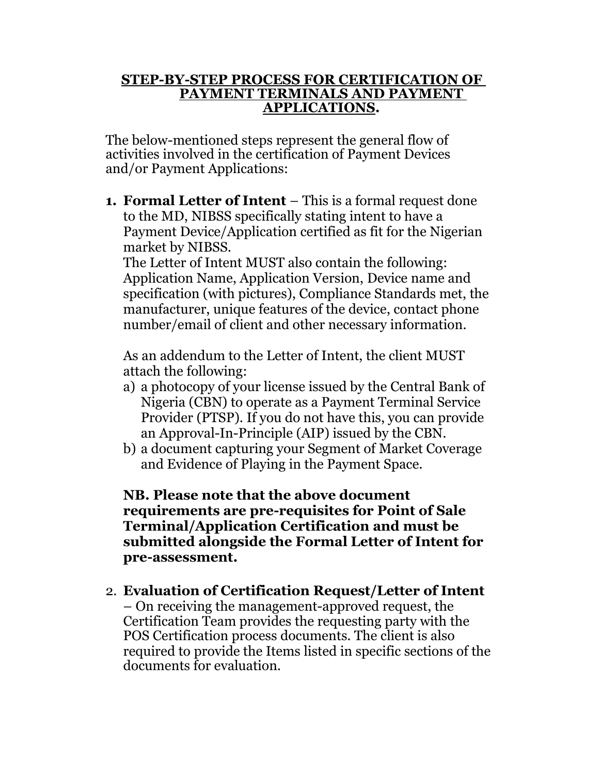## **STEP-BY-STEP PROCESS FOR CERTIFICATION OF PAYMENT TERMINALS AND PAYMENT APPLICATIONS.**

The below-mentioned steps represent the general flow of activities involved in the certification of Payment Devices and/or Payment Applications:

**1. Formal Letter of Intent** – This is a formal request done to the MD, NIBSS specifically stating intent to have a Payment Device/Application certified as fit for the Nigerian market by NIBSS.

The Letter of Intent MUST also contain the following: Application Name, Application Version, Device name and specification (with pictures), Compliance Standards met, the manufacturer, unique features of the device, contact phone number/email of client and other necessary information.

As an addendum to the Letter of Intent, the client MUST attach the following:

- a) a photocopy of your license issued by the Central Bank of Nigeria (CBN) to operate as a Payment Terminal Service Provider (PTSP). If you do not have this, you can provide an Approval-In-Principle (AIP) issued by the CBN.
- b) a document capturing your Segment of Market Coverage and Evidence of Playing in the Payment Space.

**NB. Please note that the above document requirements are pre-requisites for Point of Sale Terminal/Application Certification and must be submitted alongside the Formal Letter of Intent for pre-assessment.**

2. **Evaluation of Certification Request/Letter of Intent**  – On receiving the management-approved request, the Certification Team provides the requesting party with the POS Certification process documents. The client is also required to provide the Items listed in specific sections of the documents for evaluation.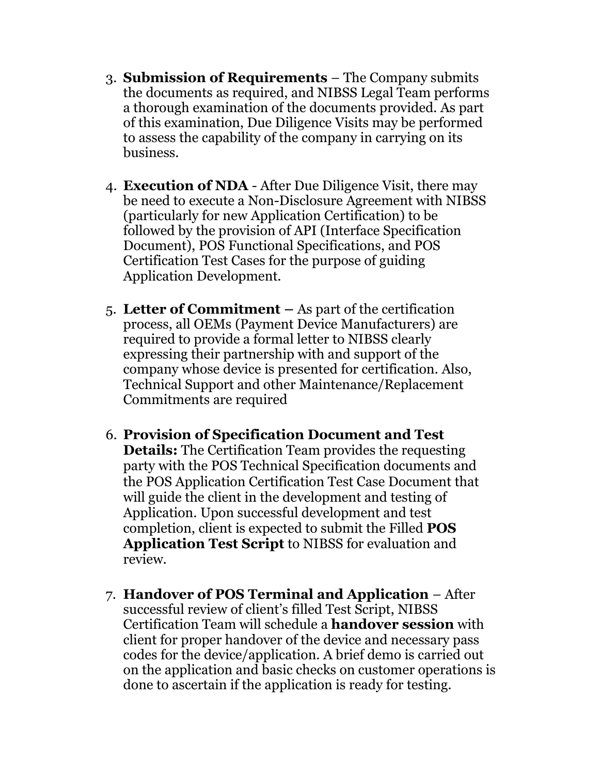- 3. **Submission of Requirements**  The Company submits the documents as required, and NIBSS Legal Team performs a thorough examination of the documents provided. As part of this examination, Due Diligence Visits may be performed to assess the capability of the company in carrying on its business.
- 4. **Execution of NDA**  After Due Diligence Visit, there may be need to execute a Non-Disclosure Agreement with NIBSS (particularly for new Application Certification) to be followed by the provision of API (Interface Specification Document), POS Functional Specifications, and POS Certification Test Cases for the purpose of guiding Application Development.
- 5. **Letter of Commitment –** As part of the certification process, all OEMs (Payment Device Manufacturers) are required to provide a formal letter to NIBSS clearly expressing their partnership with and support of the company whose device is presented for certification. Also, Technical Support and other Maintenance/Replacement Commitments are required
- 6. **Provision of Specification Document and Test Details:** The Certification Team provides the requesting party with the POS Technical Specification documents and the POS Application Certification Test Case Document that will guide the client in the development and testing of Application. Upon successful development and test completion, client is expected to submit the Filled **POS Application Test Script** to NIBSS for evaluation and review.
- 7. **Handover of POS Terminal and Application**  After successful review of client's filled Test Script, NIBSS Certification Team will schedule a **handover session** with client for proper handover of the device and necessary pass codes for the device/application. A brief demo is carried out on the application and basic checks on customer operations is done to ascertain if the application is ready for testing.